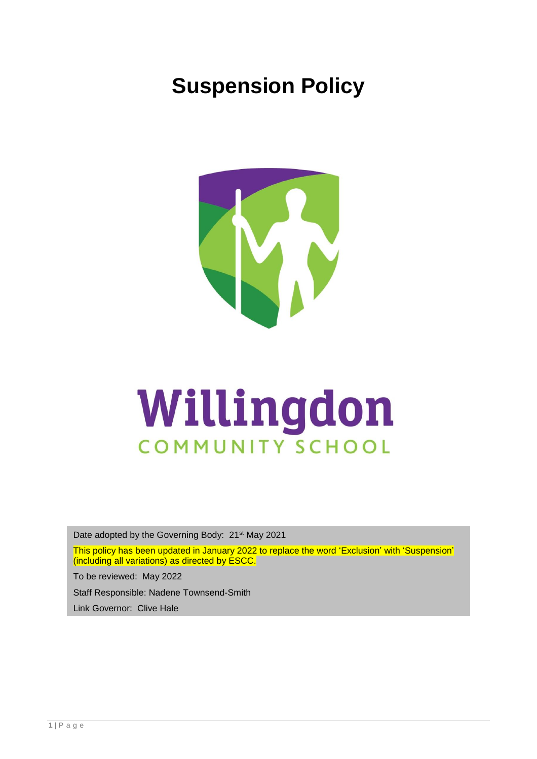# **Suspension Policy**



# Willingdon COMMUNITY SCHOOL

Date adopted by the Governing Body: 21<sup>st</sup> May 2021

This policy has been updated in January 2022 to replace the word 'Exclusion' with 'Suspension' (including all variations) as directed by ESCC.

To be reviewed: May 2022

Staff Responsible: Nadene Townsend-Smith

Link Governor: Clive Hale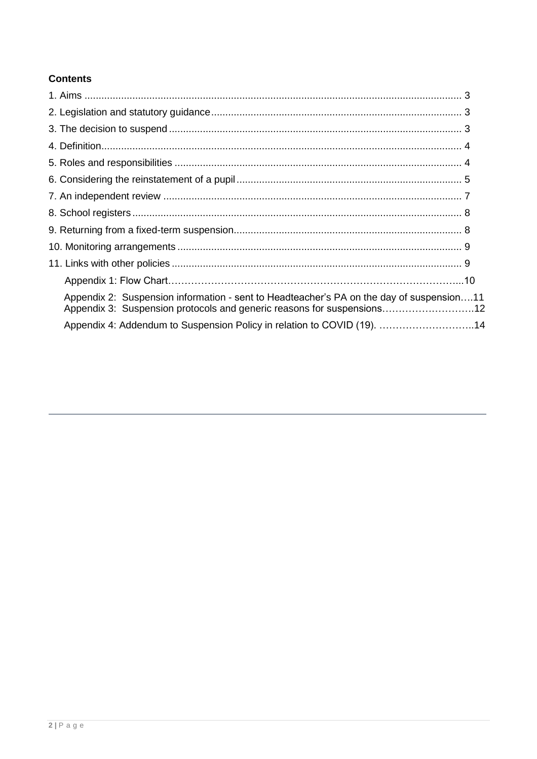# **Contents**

| Appendix 2: Suspension information - sent to Headteacher's PA on the day of suspension11<br>Appendix 3: Suspension protocols and generic reasons for suspensions12 |
|--------------------------------------------------------------------------------------------------------------------------------------------------------------------|
| Appendix 4: Addendum to Suspension Policy in relation to COVID (19). 14                                                                                            |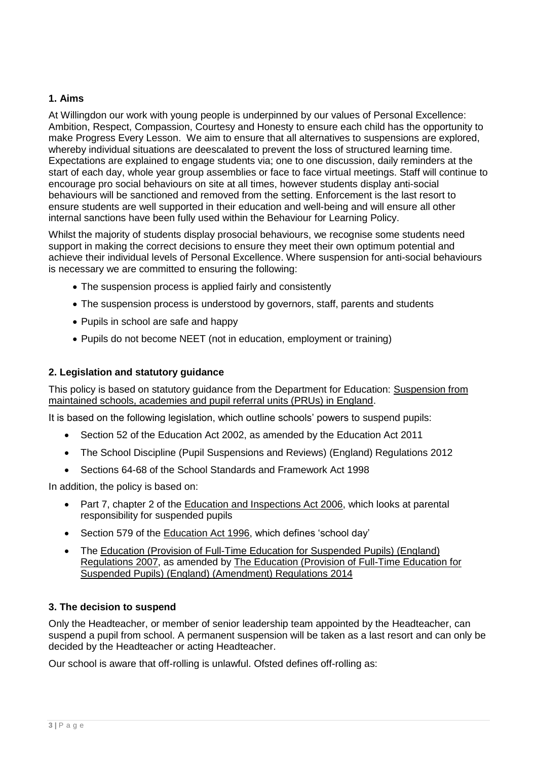# **1. Aims**

At Willingdon our work with young people is underpinned by our values of Personal Excellence: Ambition, Respect, Compassion, Courtesy and Honesty to ensure each child has the opportunity to make Progress Every Lesson. We aim to ensure that all alternatives to suspensions are explored, whereby individual situations are deescalated to prevent the loss of structured learning time. Expectations are explained to engage students via; one to one discussion, daily reminders at the start of each day, whole year group assemblies or face to face virtual meetings. Staff will continue to encourage pro social behaviours on site at all times, however students display anti-social behaviours will be sanctioned and removed from the setting. Enforcement is the last resort to ensure students are well supported in their education and well-being and will ensure all other internal sanctions have been fully used within the Behaviour for Learning Policy.

Whilst the majority of students display prosocial behaviours, we recognise some students need support in making the correct decisions to ensure they meet their own optimum potential and achieve their individual levels of Personal Excellence. Where suspension for anti-social behaviours is necessary we are committed to ensuring the following:

- The suspension process is applied fairly and consistently
- The suspension process is understood by governors, staff, parents and students
- Pupils in school are safe and happy
- Pupils do not become NEET (not in education, employment or training)

# **2. Legislation and statutory guidance**

This policy is based on statutory guidance from the Department for Education: [Suspension](https://www.gov.uk/government/publications/school-exclusion) from [maintained schools, academies and pupil referral units \(PRUs\) in England.](https://www.gov.uk/government/publications/school-exclusion)

It is based on the following legislation, which outline schools' powers to suspend pupils:

- Section 52 of the [Education Act 2002,](http://www.legislation.gov.uk/ukpga/2002/32/section/52) as amended by the [Education Act 2011](http://www.legislation.gov.uk/ukpga/2011/21/contents/enacted)
- The School Discipline (Pupil Suspensions [and Reviews\) \(England\) Regulations 2012](http://www.legislation.gov.uk/uksi/2012/1033/made)
- Sections 64-68 of the [School Standards and Framework Act 1998](http://www.legislation.gov.uk/ukpga/1998/31)

In addition, the policy is based on:

- Part 7, chapter 2 of the [Education and Inspections Act 2006,](http://www.legislation.gov.uk/ukpga/2006/40/part/7/chapter/2) which looks at parental responsibility for suspended pupils
- Section 579 of the [Education Act 1996,](http://www.legislation.gov.uk/ukpga/1996/56/section/579) which defines 'school day'
- The [Education \(Provision of Full-Time Education for Suspended](http://www.legislation.gov.uk/uksi/2007/1870/contents/made) Pupils) (England) [Regulations 2007,](http://www.legislation.gov.uk/uksi/2007/1870/contents/made) as amended by [The Education \(Provision of Full-Time Education for](http://www.legislation.gov.uk/uksi/2014/3216/contents/made)  Suspended [Pupils\) \(England\) \(Amendment\) Regulations 2014](http://www.legislation.gov.uk/uksi/2014/3216/contents/made)

# **3. The decision to suspend**

Only the Headteacher, or member of senior leadership team appointed by the Headteacher, can suspend a pupil from school. A permanent suspension will be taken as a last resort and can only be decided by the Headteacher or acting Headteacher.

Our school is aware that off-rolling is unlawful. Ofsted defines off-rolling as: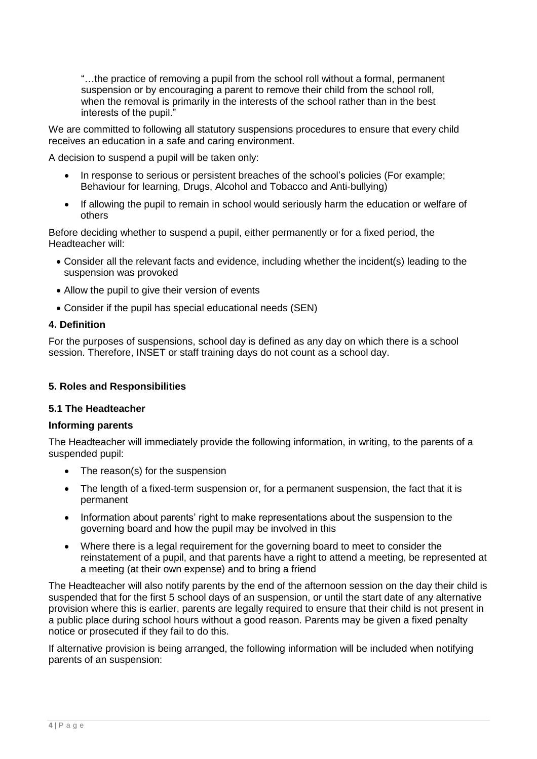"…the practice of removing a pupil from the school roll without a formal, permanent suspension or by encouraging a parent to remove their child from the school roll, when the removal is primarily in the interests of the school rather than in the best interests of the pupil."

We are committed to following all statutory suspensions procedures to ensure that every child receives an education in a safe and caring environment.

A decision to suspend a pupil will be taken only:

- In response to serious or persistent breaches of the school's policies (For example; Behaviour for learning, Drugs, Alcohol and Tobacco and Anti-bullying)
- If allowing the pupil to remain in school would seriously harm the education or welfare of others

Before deciding whether to suspend a pupil, either permanently or for a fixed period, the Headteacher will:

- Consider all the relevant facts and evidence, including whether the incident(s) leading to the suspension was provoked
- Allow the pupil to give their version of events
- Consider if the pupil has special educational needs (SEN)

## **4. Definition**

For the purposes of suspensions, school day is defined as any day on which there is a school session. Therefore, INSET or staff training days do not count as a school day.

# **5. Roles and Responsibilities**

#### **5.1 The Headteacher**

#### **Informing parents**

The Headteacher will immediately provide the following information, in writing, to the parents of a suspended pupil:

- The reason(s) for the suspension
- The length of a fixed-term suspension or, for a permanent suspension, the fact that it is permanent
- Information about parents' right to make representations about the suspension to the governing board and how the pupil may be involved in this
- Where there is a legal requirement for the governing board to meet to consider the reinstatement of a pupil, and that parents have a right to attend a meeting, be represented at a meeting (at their own expense) and to bring a friend

The Headteacher will also notify parents by the end of the afternoon session on the day their child is suspended that for the first 5 school days of an suspension, or until the start date of any alternative provision where this is earlier, parents are legally required to ensure that their child is not present in a public place during school hours without a good reason. Parents may be given a fixed penalty notice or prosecuted if they fail to do this.

If alternative provision is being arranged, the following information will be included when notifying parents of an suspension: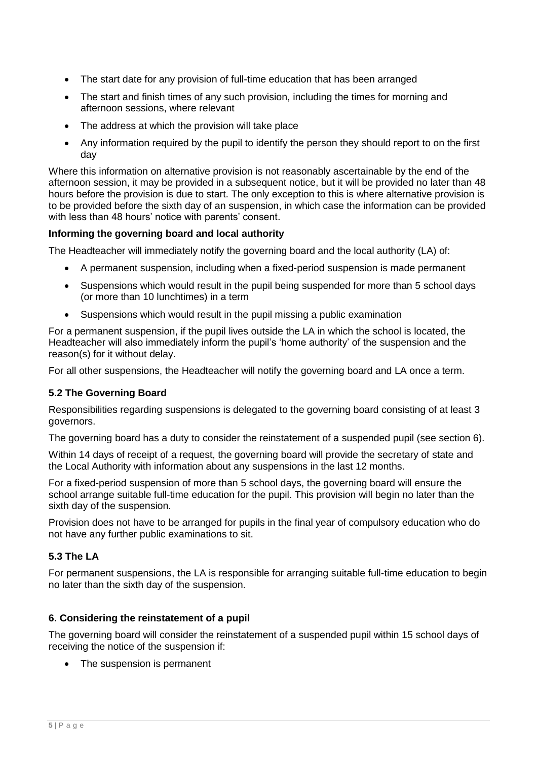- The start date for any provision of full-time education that has been arranged
- The start and finish times of any such provision, including the times for morning and afternoon sessions, where relevant
- The address at which the provision will take place
- Any information required by the pupil to identify the person they should report to on the first day

Where this information on alternative provision is not reasonably ascertainable by the end of the afternoon session, it may be provided in a subsequent notice, but it will be provided no later than 48 hours before the provision is due to start. The only exception to this is where alternative provision is to be provided before the sixth day of an suspension, in which case the information can be provided with less than 48 hours' notice with parents' consent.

# **Informing the governing board and local authority**

The Headteacher will immediately notify the governing board and the local authority (LA) of:

- A permanent suspension, including when a fixed-period suspension is made permanent
- Suspensions which would result in the pupil being suspended for more than 5 school days (or more than 10 lunchtimes) in a term
- Suspensions which would result in the pupil missing a public examination

For a permanent suspension, if the pupil lives outside the LA in which the school is located, the Headteacher will also immediately inform the pupil's 'home authority' of the suspension and the reason(s) for it without delay.

For all other suspensions, the Headteacher will notify the governing board and LA once a term.

# **5.2 The Governing Board**

Responsibilities regarding suspensions is delegated to the governing board consisting of at least 3 governors.

The governing board has a duty to consider the reinstatement of a suspended pupil (see section 6).

Within 14 days of receipt of a request, the governing board will provide the secretary of state and the Local Authority with information about any suspensions in the last 12 months.

For a fixed-period suspension of more than 5 school days, the governing board will ensure the school arrange suitable full-time education for the pupil. This provision will begin no later than the sixth day of the suspension.

Provision does not have to be arranged for pupils in the final year of compulsory education who do not have any further public examinations to sit.

# **5.3 The LA**

For permanent suspensions, the LA is responsible for arranging suitable full-time education to begin no later than the sixth day of the suspension.

#### **6. Considering the reinstatement of a pupil**

The governing board will consider the reinstatement of a suspended pupil within 15 school days of receiving the notice of the suspension if:

• The suspension is permanent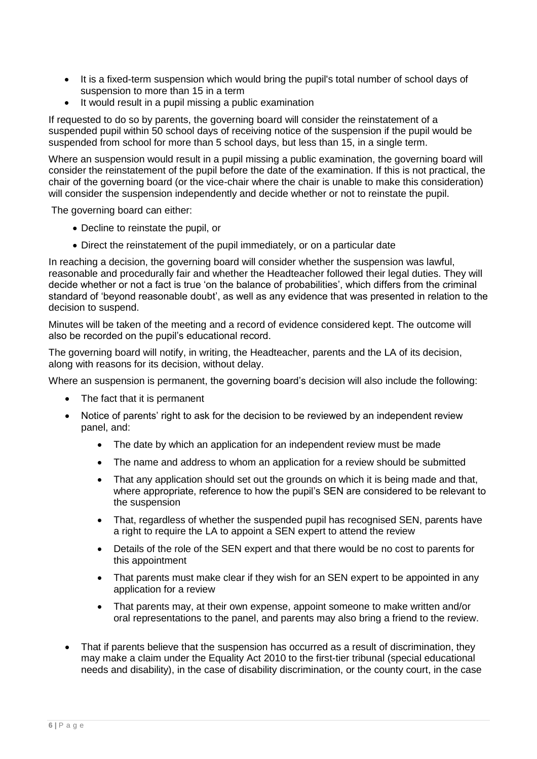- It is a fixed-term suspension which would bring the pupil's total number of school days of suspension to more than 15 in a term
- It would result in a pupil missing a public examination

If requested to do so by parents, the governing board will consider the reinstatement of a suspended pupil within 50 school days of receiving notice of the suspension if the pupil would be suspended from school for more than 5 school days, but less than 15, in a single term.

Where an suspension would result in a pupil missing a public examination, the governing board will consider the reinstatement of the pupil before the date of the examination. If this is not practical, the chair of the governing board (or the vice-chair where the chair is unable to make this consideration) will consider the suspension independently and decide whether or not to reinstate the pupil.

The governing board can either:

- Decline to reinstate the pupil, or
- Direct the reinstatement of the pupil immediately, or on a particular date

In reaching a decision, the governing board will consider whether the suspension was lawful, reasonable and procedurally fair and whether the Headteacher followed their legal duties. They will decide whether or not a fact is true 'on the balance of probabilities', which differs from the criminal standard of 'beyond reasonable doubt', as well as any evidence that was presented in relation to the decision to suspend.

Minutes will be taken of the meeting and a record of evidence considered kept. The outcome will also be recorded on the pupil's educational record.

The governing board will notify, in writing, the Headteacher, parents and the LA of its decision, along with reasons for its decision, without delay.

Where an suspension is permanent, the governing board's decision will also include the following:

- The fact that it is permanent
- Notice of parents' right to ask for the decision to be reviewed by an independent review panel, and:
	- The date by which an application for an independent review must be made
	- The name and address to whom an application for a review should be submitted
	- That any application should set out the grounds on which it is being made and that, where appropriate, reference to how the pupil's SEN are considered to be relevant to the suspension
	- That, regardless of whether the suspended pupil has recognised SEN, parents have a right to require the LA to appoint a SEN expert to attend the review
	- Details of the role of the SEN expert and that there would be no cost to parents for this appointment
	- That parents must make clear if they wish for an SEN expert to be appointed in any application for a review
	- That parents may, at their own expense, appoint someone to make written and/or oral representations to the panel, and parents may also bring a friend to the review.
- That if parents believe that the suspension has occurred as a result of discrimination, they may make a claim under the Equality Act 2010 to the first-tier tribunal (special educational needs and disability), in the case of disability discrimination, or the county court, in the case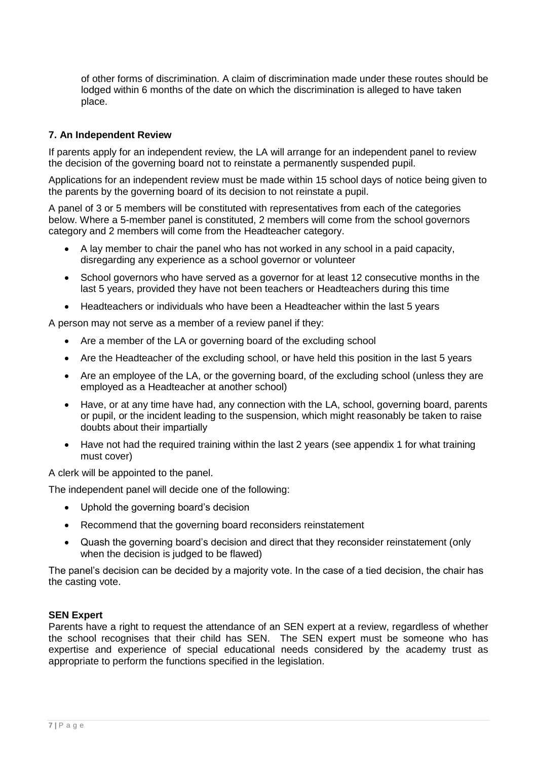of other forms of discrimination. A claim of discrimination made under these routes should be lodged within 6 months of the date on which the discrimination is alleged to have taken place.

# **7. An Independent Review**

If parents apply for an independent review, the LA will arrange for an independent panel to review the decision of the governing board not to reinstate a permanently suspended pupil.

Applications for an independent review must be made within 15 school days of notice being given to the parents by the governing board of its decision to not reinstate a pupil.

A panel of 3 or 5 members will be constituted with representatives from each of the categories below. Where a 5-member panel is constituted, 2 members will come from the school governors category and 2 members will come from the Headteacher category.

- A lay member to chair the panel who has not worked in any school in a paid capacity, disregarding any experience as a school governor or volunteer
- School governors who have served as a governor for at least 12 consecutive months in the last 5 years, provided they have not been teachers or Headteachers during this time
- Headteachers or individuals who have been a Headteacher within the last 5 years

A person may not serve as a member of a review panel if they:

- Are a member of the LA or governing board of the excluding school
- Are the Headteacher of the excluding school, or have held this position in the last 5 years
- Are an employee of the LA, or the governing board, of the excluding school (unless they are employed as a Headteacher at another school)
- Have, or at any time have had, any connection with the LA, school, governing board, parents or pupil, or the incident leading to the suspension, which might reasonably be taken to raise doubts about their impartially
- Have not had the required training within the last 2 years (see appendix 1 for what training must cover)

A clerk will be appointed to the panel.

The independent panel will decide one of the following:

- Uphold the governing board's decision
- Recommend that the governing board reconsiders reinstatement
- Quash the governing board's decision and direct that they reconsider reinstatement (only when the decision is judged to be flawed)

The panel's decision can be decided by a majority vote. In the case of a tied decision, the chair has the casting vote.

#### **SEN Expert**

Parents have a right to request the attendance of an SEN expert at a review, regardless of whether the school recognises that their child has SEN. The SEN expert must be someone who has expertise and experience of special educational needs considered by the academy trust as appropriate to perform the functions specified in the legislation.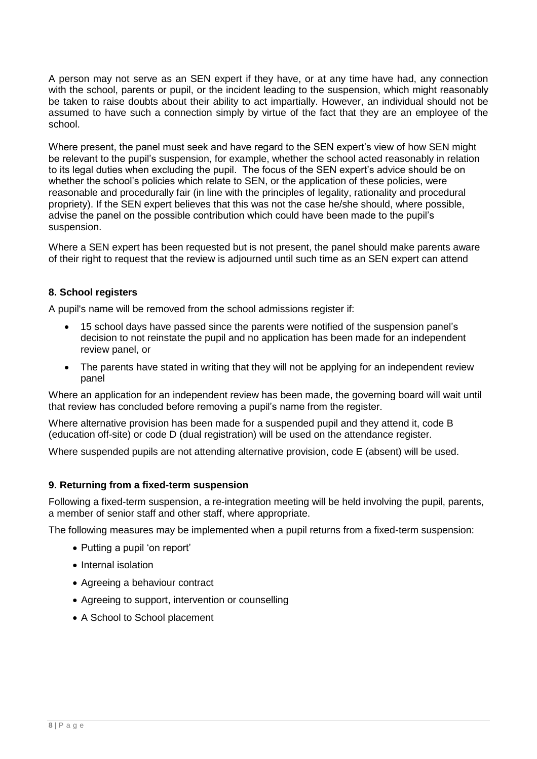A person may not serve as an SEN expert if they have, or at any time have had, any connection with the school, parents or pupil, or the incident leading to the suspension, which might reasonably be taken to raise doubts about their ability to act impartially. However, an individual should not be assumed to have such a connection simply by virtue of the fact that they are an employee of the school.

Where present, the panel must seek and have regard to the SEN expert's view of how SEN might be relevant to the pupil's suspension, for example, whether the school acted reasonably in relation to its legal duties when excluding the pupil. The focus of the SEN expert's advice should be on whether the school's policies which relate to SEN, or the application of these policies, were reasonable and procedurally fair (in line with the principles of legality, rationality and procedural propriety). If the SEN expert believes that this was not the case he/she should, where possible, advise the panel on the possible contribution which could have been made to the pupil's suspension.

Where a SEN expert has been requested but is not present, the panel should make parents aware of their right to request that the review is adjourned until such time as an SEN expert can attend

# **8. School registers**

A pupil's name will be removed from the school admissions register if:

- 15 school days have passed since the parents were notified of the suspension panel's decision to not reinstate the pupil and no application has been made for an independent review panel, or
- The parents have stated in writing that they will not be applying for an independent review panel

Where an application for an independent review has been made, the governing board will wait until that review has concluded before removing a pupil's name from the register.

Where alternative provision has been made for a suspended pupil and they attend it, code B (education off-site) or code D (dual registration) will be used on the attendance register.

Where suspended pupils are not attending alternative provision, code E (absent) will be used.

# **9. Returning from a fixed-term suspension**

Following a fixed-term suspension, a re-integration meeting will be held involving the pupil, parents, a member of senior staff and other staff, where appropriate.

The following measures may be implemented when a pupil returns from a fixed-term suspension:

- Putting a pupil 'on report'
- Internal isolation
- Agreeing a behaviour contract
- Agreeing to support, intervention or counselling
- A School to School placement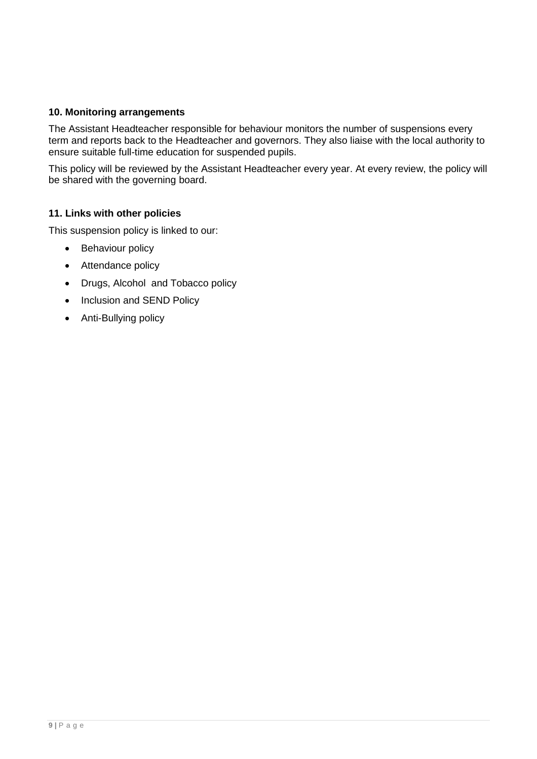# **10. Monitoring arrangements**

The Assistant Headteacher responsible for behaviour monitors the number of suspensions every term and reports back to the Headteacher and governors. They also liaise with the local authority to ensure suitable full-time education for suspended pupils.

This policy will be reviewed by the Assistant Headteacher every year. At every review, the policy will be shared with the governing board.

# **11. Links with other policies**

This suspension policy is linked to our:

- Behaviour policy
- Attendance policy
- Drugs, Alcohol and Tobacco policy
- Inclusion and SEND Policy
- Anti-Bullying policy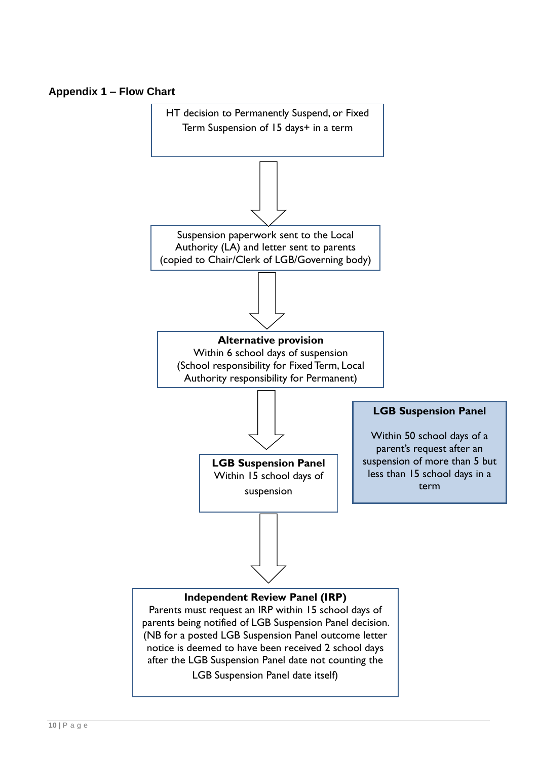# **Appendix 1 – Flow Chart**

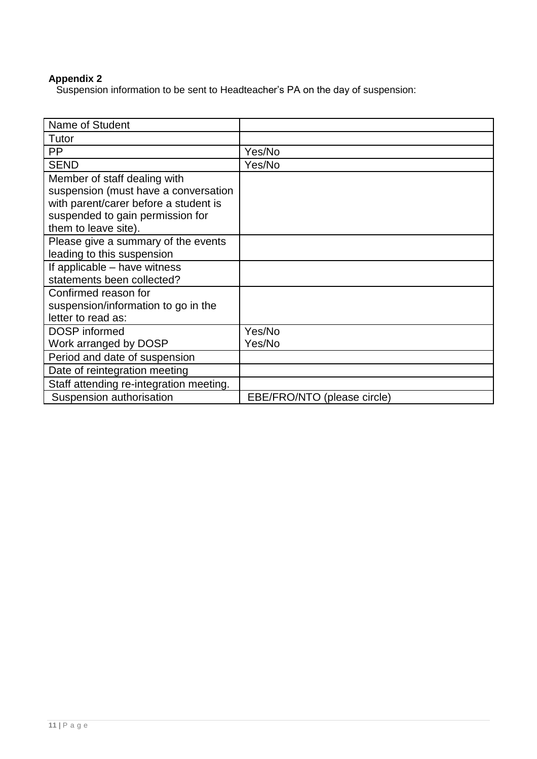# **Appendix 2**

Suspension information to be sent to Headteacher's PA on the day of suspension:

| Name of Student                         |                             |
|-----------------------------------------|-----------------------------|
| Tutor                                   |                             |
| <b>PP</b>                               | Yes/No                      |
| <b>SEND</b>                             | Yes/No                      |
| Member of staff dealing with            |                             |
| suspension (must have a conversation    |                             |
| with parent/carer before a student is   |                             |
| suspended to gain permission for        |                             |
| them to leave site).                    |                             |
| Please give a summary of the events     |                             |
| leading to this suspension              |                             |
| If applicable - have witness            |                             |
| statements been collected?              |                             |
| Confirmed reason for                    |                             |
| suspension/information to go in the     |                             |
| letter to read as:                      |                             |
| <b>DOSP</b> informed                    | Yes/No                      |
| Work arranged by DOSP                   | Yes/No                      |
| Period and date of suspension           |                             |
| Date of reintegration meeting           |                             |
| Staff attending re-integration meeting. |                             |
| Suspension authorisation                | EBE/FRO/NTO (please circle) |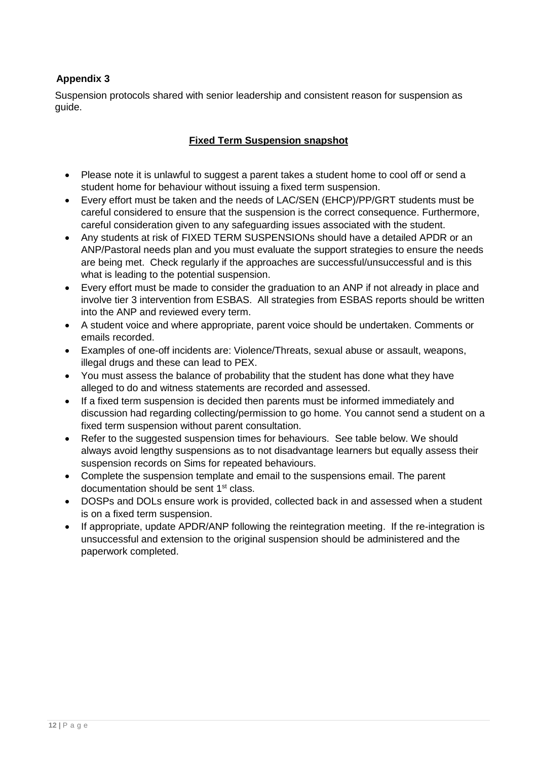# **Appendix 3**

Suspension protocols shared with senior leadership and consistent reason for suspension as guide.

# **Fixed Term Suspension snapshot**

- Please note it is unlawful to suggest a parent takes a student home to cool off or send a student home for behaviour without issuing a fixed term suspension.
- Every effort must be taken and the needs of LAC/SEN (EHCP)/PP/GRT students must be careful considered to ensure that the suspension is the correct consequence. Furthermore, careful consideration given to any safeguarding issues associated with the student.
- Any students at risk of FIXED TERM SUSPENSIONs should have a detailed APDR or an ANP/Pastoral needs plan and you must evaluate the support strategies to ensure the needs are being met. Check regularly if the approaches are successful/unsuccessful and is this what is leading to the potential suspension.
- Every effort must be made to consider the graduation to an ANP if not already in place and involve tier 3 intervention from ESBAS. All strategies from ESBAS reports should be written into the ANP and reviewed every term.
- A student voice and where appropriate, parent voice should be undertaken. Comments or emails recorded.
- Examples of one-off incidents are: Violence/Threats, sexual abuse or assault, weapons, illegal drugs and these can lead to PEX.
- You must assess the balance of probability that the student has done what they have alleged to do and witness statements are recorded and assessed.
- If a fixed term suspension is decided then parents must be informed immediately and discussion had regarding collecting/permission to go home. You cannot send a student on a fixed term suspension without parent consultation.
- Refer to the suggested suspension times for behaviours. See table below. We should always avoid lengthy suspensions as to not disadvantage learners but equally assess their suspension records on Sims for repeated behaviours.
- Complete the suspension template and email to the suspensions email. The parent documentation should be sent 1<sup>st</sup> class.
- DOSPs and DOLs ensure work is provided, collected back in and assessed when a student is on a fixed term suspension.
- If appropriate, update APDR/ANP following the reintegration meeting. If the re-integration is unsuccessful and extension to the original suspension should be administered and the paperwork completed.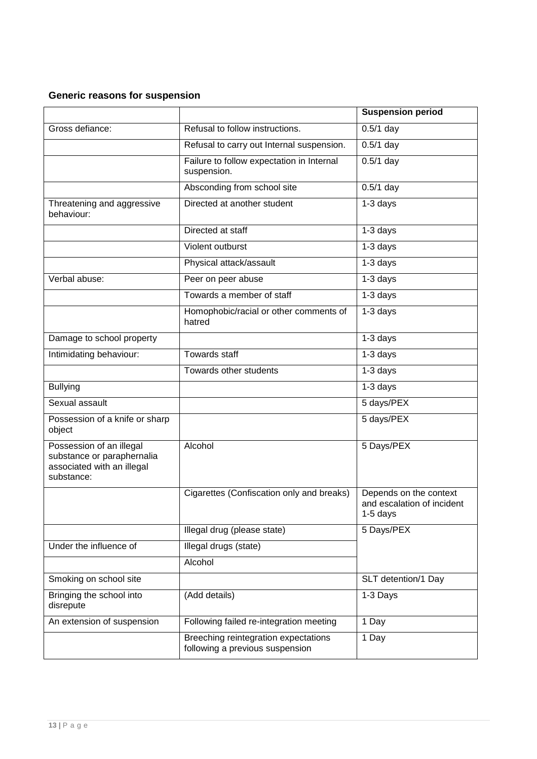# **Generic reasons for suspension**

|                                                                                                    |                                                                         | <b>Suspension period</b>                                           |
|----------------------------------------------------------------------------------------------------|-------------------------------------------------------------------------|--------------------------------------------------------------------|
| Gross defiance:                                                                                    | Refusal to follow instructions.                                         | $0.5/1$ day                                                        |
|                                                                                                    | Refusal to carry out Internal suspension.                               | $0.5/1$ day                                                        |
|                                                                                                    | Failure to follow expectation in Internal<br>suspension.                | $0.5/1$ day                                                        |
|                                                                                                    | Absconding from school site                                             | $0.5/1$ day                                                        |
| Threatening and aggressive<br>behaviour:                                                           | Directed at another student                                             | $1-3$ days                                                         |
|                                                                                                    | Directed at staff                                                       | 1-3 days                                                           |
|                                                                                                    | Violent outburst                                                        | 1-3 days                                                           |
|                                                                                                    | Physical attack/assault                                                 | 1-3 days                                                           |
| Verbal abuse:                                                                                      | Peer on peer abuse                                                      | 1-3 days                                                           |
|                                                                                                    | Towards a member of staff                                               | 1-3 days                                                           |
|                                                                                                    | Homophobic/racial or other comments of<br>hatred                        | $1-3$ days                                                         |
| Damage to school property                                                                          |                                                                         | 1-3 days                                                           |
| Intimidating behaviour:                                                                            | <b>Towards staff</b>                                                    | 1-3 days                                                           |
|                                                                                                    | Towards other students                                                  | 1-3 days                                                           |
| <b>Bullying</b>                                                                                    |                                                                         | $1-3$ days                                                         |
| Sexual assault                                                                                     |                                                                         | 5 days/PEX                                                         |
| Possession of a knife or sharp<br>object                                                           |                                                                         | 5 days/PEX                                                         |
| Possession of an illegal<br>substance or paraphernalia<br>associated with an illegal<br>substance: | Alcohol                                                                 | 5 Days/PEX                                                         |
|                                                                                                    | Cigarettes (Confiscation only and breaks)                               | Depends on the context<br>and escalation of incident<br>$1-5$ days |
|                                                                                                    | Illegal drug (please state)                                             | 5 Days/PEX                                                         |
| Under the influence of                                                                             | Illegal drugs (state)                                                   |                                                                    |
|                                                                                                    | Alcohol                                                                 |                                                                    |
| Smoking on school site                                                                             |                                                                         | SLT detention/1 Day                                                |
| Bringing the school into<br>disrepute                                                              | (Add details)                                                           | 1-3 Days                                                           |
| An extension of suspension                                                                         | Following failed re-integration meeting                                 | 1 Day                                                              |
|                                                                                                    | Breeching reintegration expectations<br>following a previous suspension | 1 Day                                                              |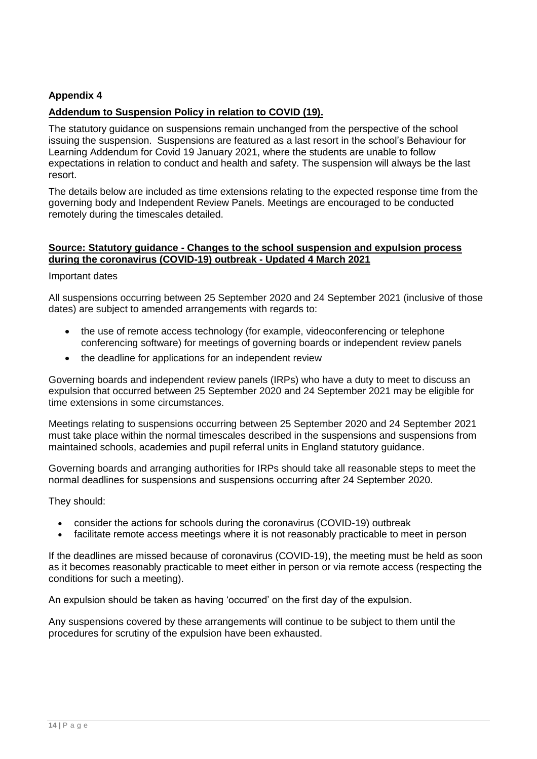# **Appendix 4**

# **Addendum to Suspension Policy in relation to COVID (19).**

The statutory guidance on suspensions remain unchanged from the perspective of the school issuing the suspension. Suspensions are featured as a last resort in the school's Behaviour for Learning Addendum for Covid 19 January 2021, where the students are unable to follow expectations in relation to conduct and health and safety. The suspension will always be the last resort.

The details below are included as time extensions relating to the expected response time from the governing body and Independent Review Panels. Meetings are encouraged to be conducted remotely during the timescales detailed.

### **Source: Statutory guidance - Changes to the school suspension and expulsion process during the coronavirus (COVID-19) outbreak - Updated 4 March 2021**

#### Important dates

All suspensions occurring between 25 September 2020 and 24 September 2021 (inclusive of those dates) are subject to amended arrangements with regards to:

- the use of remote access technology (for example, videoconferencing or telephone conferencing software) for meetings of governing boards or independent review panels
- the deadline for applications for an independent review

Governing boards and independent review panels (IRPs) who have a duty to meet to discuss an expulsion that occurred between 25 September 2020 and 24 September 2021 may be eligible for time extensions in some circumstances.

Meetings relating to suspensions occurring between 25 September 2020 and 24 September 2021 must take place within the normal timescales described in the [suspensions and suspensions](https://www.gov.uk/government/publications/school-exclusion) from [maintained schools, academies and pupil referral units in England statutory guidance.](https://www.gov.uk/government/publications/school-exclusion)

Governing boards and arranging authorities for IRPs should take all reasonable steps to meet the normal deadlines for suspensions and suspensions occurring after 24 September 2020.

#### They should:

- consider the [actions for schools during the coronavirus \(COVID-19\) outbreak](https://www.gov.uk/government/publications/actions-for-schools-during-the-coronavirus-outbreak)
- facilitate remote access meetings where it is not reasonably practicable to meet in person

If the deadlines are missed because of coronavirus (COVID-19), the meeting must be held as soon as it becomes reasonably practicable to meet either in person or via remote access (respecting the conditions for such a meeting).

An expulsion should be taken as having 'occurred' on the first day of the expulsion.

Any suspensions covered by these arrangements will continue to be subject to them until the procedures for scrutiny of the expulsion have been exhausted.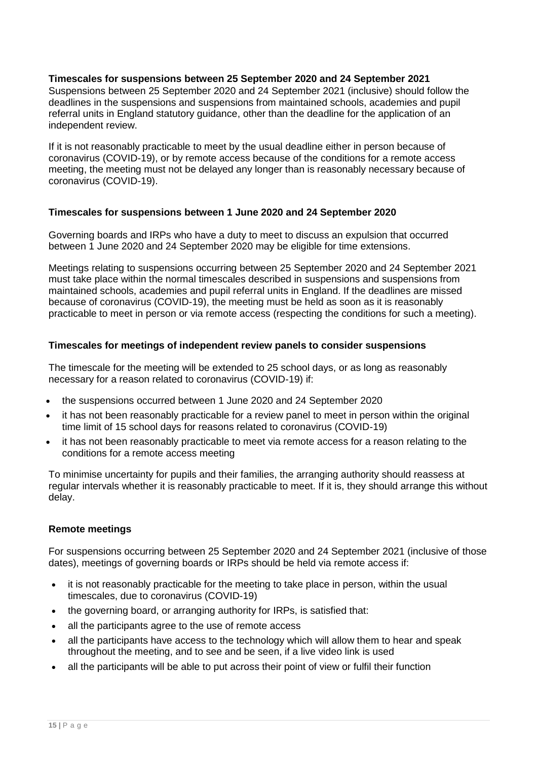# **Timescales for suspensions between 25 September 2020 and 24 September 2021**

Suspensions between 25 September 2020 and 24 September 2021 (inclusive) should follow the deadlines in the suspensions and suspensions [from maintained schools, academies and pupil](https://www.gov.uk/government/publications/school-exclusion)  [referral units in England statutory guidance,](https://www.gov.uk/government/publications/school-exclusion) other than the deadline for the application of an independent review.

If it is not reasonably practicable to meet by the usual deadline either in person because of coronavirus (COVID-19), or by remote access because of the conditions for a remote access meeting, the meeting must not be delayed any longer than is reasonably necessary because of coronavirus (COVID-19).

# **Timescales for suspensions between 1 June 2020 and 24 September 2020**

Governing boards and IRPs who have a duty to meet to discuss an expulsion that occurred between 1 June 2020 and 24 September 2020 may be eligible for time extensions.

Meetings relating to suspensions occurring between 25 September 2020 and 24 September 2021 must take place within the normal timescales described in [suspensions and suspensions](https://www.gov.uk/government/publications/school-exclusion) from [maintained schools, academies and pupil referral units in England.](https://www.gov.uk/government/publications/school-exclusion) If the deadlines are missed because of coronavirus (COVID-19), the meeting must be held as soon as it is reasonably practicable to meet in person or via remote access (respecting the conditions for such a meeting).

# **Timescales for meetings of independent review panels to consider suspensions**

The timescale for the meeting will be extended to 25 school days, or as long as reasonably necessary for a reason related to coronavirus (COVID-19) if:

- the suspensions occurred between 1 June 2020 and 24 September 2020
- it has not been reasonably practicable for a review panel to meet in person within the original time limit of 15 school days for reasons related to coronavirus (COVID-19)
- it has not been reasonably practicable to meet via remote access for a reason relating to the conditions for a remote access meeting

To minimise uncertainty for pupils and their families, the arranging authority should reassess at regular intervals whether it is reasonably practicable to meet. If it is, they should arrange this without delay.

# **Remote meetings**

For suspensions occurring between 25 September 2020 and 24 September 2021 (inclusive of those dates), meetings of governing boards or IRPs should be held via remote access if:

- it is not reasonably practicable for the meeting to take place in person, within the usual timescales, due to coronavirus (COVID-19)
- the governing board, or arranging authority for IRPs, is satisfied that:
- all the participants agree to the use of remote access
- all the participants have access to the technology which will allow them to hear and speak throughout the meeting, and to see and be seen, if a live video link is used
- all the participants will be able to put across their point of view or fulfil their function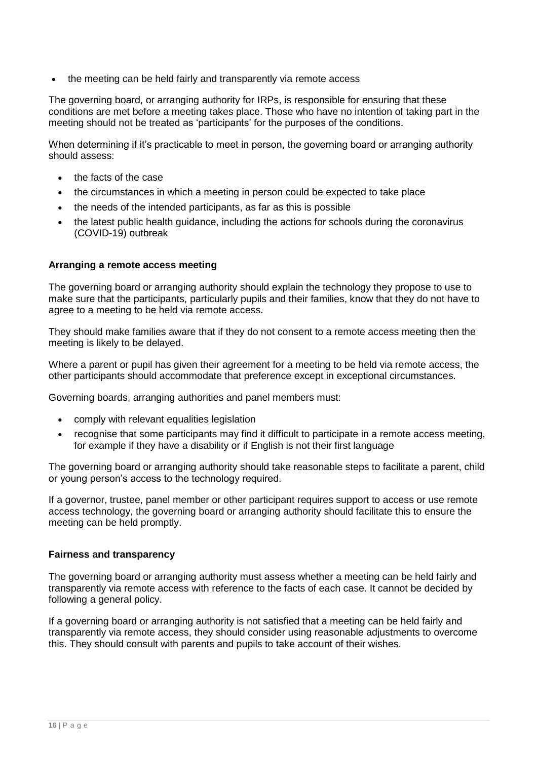the meeting can be held fairly and transparently via remote access

The governing board, or arranging authority for IRPs, is responsible for ensuring that these conditions are met before a meeting takes place. Those who have no intention of taking part in the meeting should not be treated as 'participants' for the purposes of the conditions.

When determining if it's practicable to meet in person, the governing board or arranging authority should assess:

- the facts of the case
- the circumstances in which a meeting in person could be expected to take place
- the needs of the intended participants, as far as this is possible
- the latest public health guidance, including the actions for schools during the coronavirus [\(COVID-19\) outbreak](https://www.gov.uk/government/publications/actions-for-schools-during-the-coronavirus-outbreak)

# **Arranging a remote access meeting**

The governing board or arranging authority should explain the technology they propose to use to make sure that the participants, particularly pupils and their families, know that they do not have to agree to a meeting to be held via remote access.

They should make families aware that if they do not consent to a remote access meeting then the meeting is likely to be delayed.

Where a parent or pupil has given their agreement for a meeting to be held via remote access, the other participants should accommodate that preference except in exceptional circumstances.

Governing boards, arranging authorities and panel members must:

- comply with relevant equalities legislation
- recognise that some participants may find it difficult to participate in a remote access meeting, for example if they have a disability or if English is not their first language

The governing board or arranging authority should take reasonable steps to facilitate a parent, child or young person's access to the technology required.

If a governor, trustee, panel member or other participant requires support to access or use remote access technology, the governing board or arranging authority should facilitate this to ensure the meeting can be held promptly.

#### **Fairness and transparency**

The governing board or arranging authority must assess whether a meeting can be held fairly and transparently via remote access with reference to the facts of each case. It cannot be decided by following a general policy.

If a governing board or arranging authority is not satisfied that a meeting can be held fairly and transparently via remote access, they should consider using reasonable adjustments to overcome this. They should consult with parents and pupils to take account of their wishes.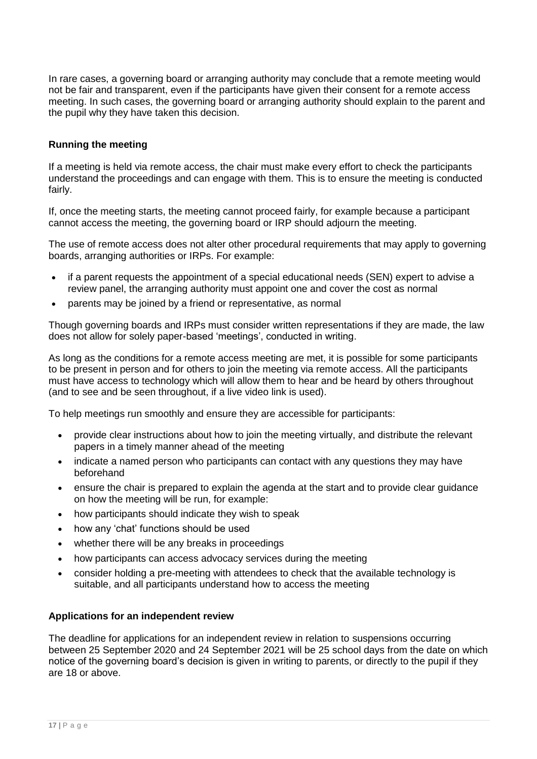In rare cases, a governing board or arranging authority may conclude that a remote meeting would not be fair and transparent, even if the participants have given their consent for a remote access meeting. In such cases, the governing board or arranging authority should explain to the parent and the pupil why they have taken this decision.

# **Running the meeting**

If a meeting is held via remote access, the chair must make every effort to check the participants understand the proceedings and can engage with them. This is to ensure the meeting is conducted fairly.

If, once the meeting starts, the meeting cannot proceed fairly, for example because a participant cannot access the meeting, the governing board or IRP should adjourn the meeting.

The use of remote access does not alter other procedural requirements that may apply to governing boards, arranging authorities or IRPs. For example:

- if a parent requests the appointment of a special educational needs (SEN) expert to advise a review panel, the arranging authority must appoint one and cover the cost as normal
- parents may be joined by a friend or representative, as normal

Though governing boards and IRPs must consider written representations if they are made, the law does not allow for solely paper-based 'meetings', conducted in writing.

As long as the conditions for a remote access meeting are met, it is possible for some participants to be present in person and for others to join the meeting via remote access. All the participants must have access to technology which will allow them to hear and be heard by others throughout (and to see and be seen throughout, if a live video link is used).

To help meetings run smoothly and ensure they are accessible for participants:

- provide clear instructions about how to join the meeting virtually, and distribute the relevant papers in a timely manner ahead of the meeting
- indicate a named person who participants can contact with any questions they may have beforehand
- ensure the chair is prepared to explain the agenda at the start and to provide clear guidance on how the meeting will be run, for example:
- how participants should indicate they wish to speak
- how any 'chat' functions should be used
- whether there will be any breaks in proceedings
- how participants can access advocacy services during the meeting
- consider holding a pre-meeting with attendees to check that the available technology is suitable, and all participants understand how to access the meeting

# **Applications for an independent review**

The deadline for applications for an independent review in relation to suspensions occurring between 25 September 2020 and 24 September 2021 will be 25 school days from the date on which notice of the governing board's decision is given in writing to parents, or directly to the pupil if they are 18 or above.